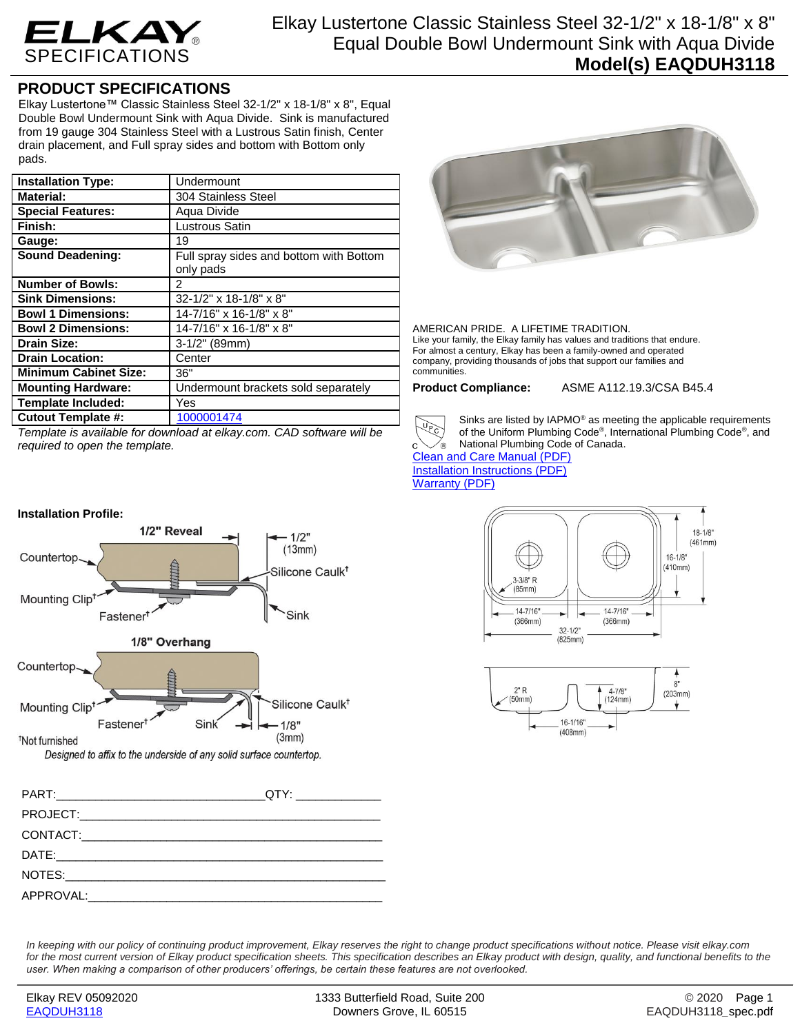

## **PRODUCT SPECIFICATIONS**

Elkay Lustertone™ Classic Stainless Steel 32-1/2" x 18-1/8" x 8", Equal Double Bowl Undermount Sink with Aqua Divide. Sink is manufactured from 19 gauge 304 Stainless Steel with a Lustrous Satin finish, Center drain placement, and Full spray sides and bottom with Bottom only pads.

| <b>Installation Type:</b>    | Undermount                              |
|------------------------------|-----------------------------------------|
| <b>Material:</b>             | 304 Stainless Steel                     |
| <b>Special Features:</b>     | Aqua Divide                             |
| Finish:                      | <b>Lustrous Satin</b>                   |
| Gauge:                       | 19                                      |
| <b>Sound Deadening:</b>      | Full spray sides and bottom with Bottom |
|                              | only pads                               |
| <b>Number of Bowls:</b>      | 2                                       |
| <b>Sink Dimensions:</b>      | 32-1/2" x 18-1/8" x 8"                  |
| <b>Bowl 1 Dimensions:</b>    | 14-7/16" x 16-1/8" x 8"                 |
| <b>Bowl 2 Dimensions:</b>    | 14-7/16" x 16-1/8" x 8"                 |
| <b>Drain Size:</b>           | 3-1/2" (89mm)                           |
| <b>Drain Location:</b>       | Center                                  |
| <b>Minimum Cabinet Size:</b> | 36"                                     |
| <b>Mounting Hardware:</b>    | Undermount brackets sold separately     |
| <b>Template Included:</b>    | Yes                                     |
| <b>Cutout Template #:</b>    | 1000001474                              |

*Template is available for download at elkay.com. CAD software will be required to open the template.*



AMERICAN PRIDE. A LIFETIME TRADITION. Like your family, the Elkay family has values and traditions that endure. For almost a century, Elkay has been a family-owned and operated company, providing thousands of jobs that support our families and communities.

**Product Compliance:** ASME A112.19.3/CSA B45.4



of the Uniform Plumbing Code® , International Plumbing Code® , and National Plumbing Code of Canada.

[Clean and Care Manual \(PDF\)](http://www.elkayfiles.com/care-cleaning-install-warranty-sheets/1000005386.pdf) [Installation Instructions \(PDF\)](http://www.elkayfiles.com/care-cleaning-install-warranty-sheets/1000005239.pdf) [Warranty](http://www.elkayfiles.com/care-cleaning-install-warranty-sheets/1000005125.pdf) (PDF)





 $-1/2"$  $(13mm)$ Countertop Silicone Caulk<sup>†</sup> Mounting Clip<sup>t</sup> Fastener<sup>t</sup> Sink 1/8" Overhand Countertop Silicone Caulk<sup>†</sup> Mounting Clip<sup>t</sup> Fastener<sup>t</sup> Sink  $1/8"$  $(3mm)$ <sup>†</sup>Not furnished Designed to affix to the underside of any solid surface countertop.

1/2" Reveal

PART:\_\_\_\_\_\_\_\_\_\_\_\_\_\_\_\_\_\_\_\_\_\_\_\_\_\_\_\_\_\_\_\_QTY: \_\_\_\_\_\_\_\_\_\_\_\_\_ PROJECT: CONTACT: DATE:\_\_\_\_\_\_\_\_\_\_\_\_\_\_\_\_\_\_\_\_\_\_\_\_\_\_\_\_\_\_\_\_\_\_\_\_\_\_\_\_\_\_\_\_\_\_\_\_\_\_ NOTES:  $APPROVAL:$ 

*In keeping with our policy of continuing product improvement, Elkay reserves the right to change product specifications without notice. Please visit elkay.com for the most current version of Elkay product specification sheets. This specification describes an Elkay product with design, quality, and functional benefits to the user. When making a comparison of other producers' offerings, be certain these features are not overlooked.*

**Installation Profile:**